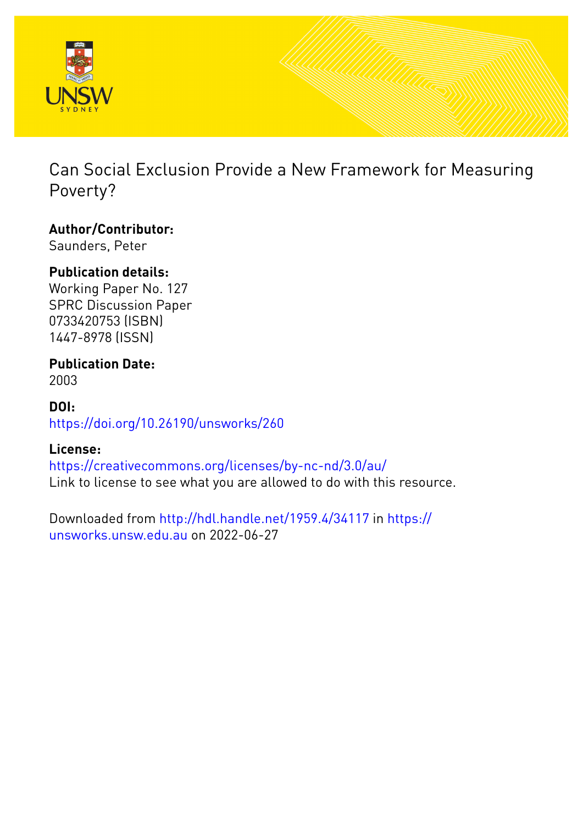

Can Social Exclusion Provide a New Framework for Measuring Poverty?

# **Author/Contributor:**

Saunders, Peter

# **Publication details:**

Working Paper No. 127 SPRC Discussion Paper 0733420753 (ISBN) 1447-8978 (ISSN)

#### **Publication Date:** 2003

## **DOI:** [https://doi.org/10.26190/unsworks/260](http://dx.doi.org/https://doi.org/10.26190/unsworks/260)

# **License:**

<https://creativecommons.org/licenses/by-nc-nd/3.0/au/> Link to license to see what you are allowed to do with this resource.

Downloaded from <http://hdl.handle.net/1959.4/34117> in [https://](https://unsworks.unsw.edu.au) [unsworks.unsw.edu.au](https://unsworks.unsw.edu.au) on 2022-06-27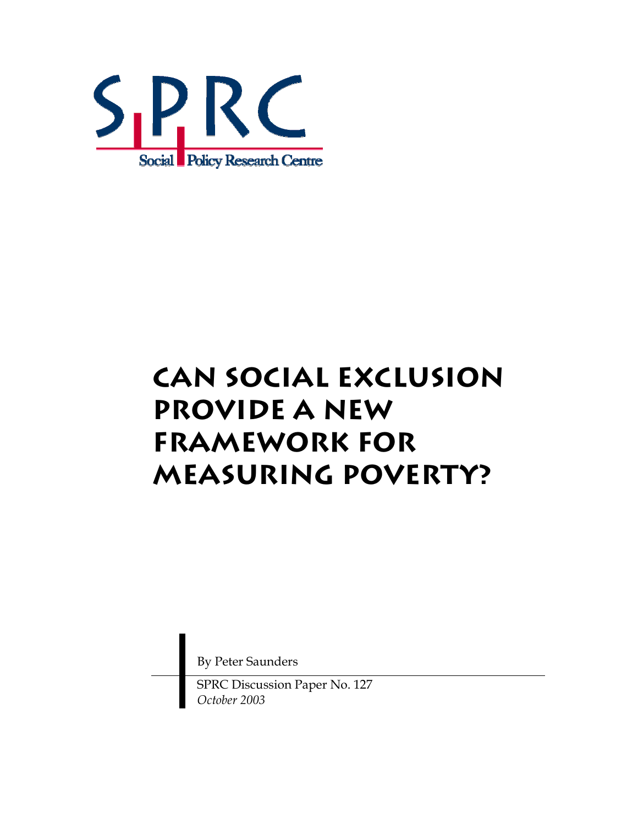

# **Can Social Exclusion Provide a New Framework for Measuring Poverty?**

By Peter Saunders

SPRC Discussion Paper No. 127 *October 2003*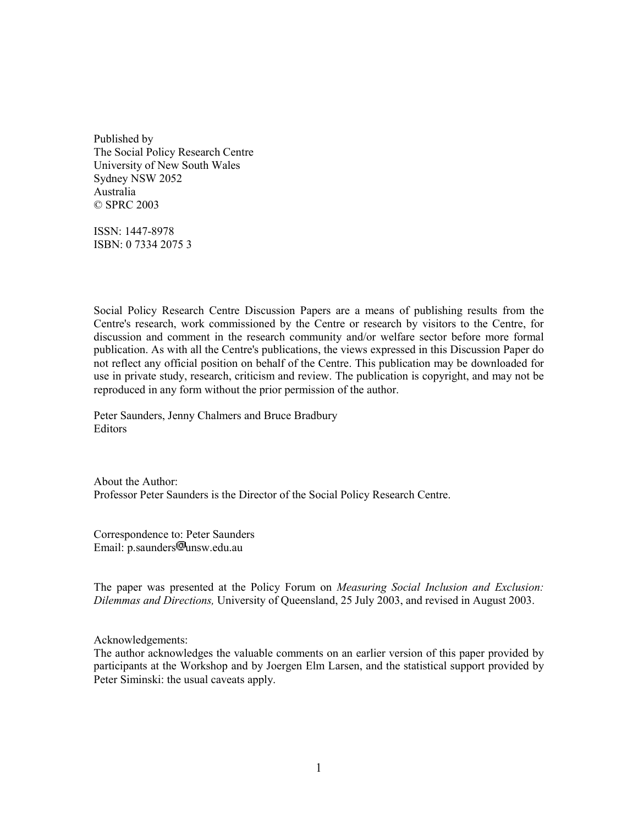Published by The Social Policy Research Centre University of New South Wales Sydney NSW 2052 Australia © SPRC 2003

ISSN: 1447-8978 ISBN: 0 7334 2075 3

Social Policy Research Centre Discussion Papers are a means of publishing results from the Centre's research, work commissioned by the Centre or research by visitors to the Centre, for discussion and comment in the research community and/or welfare sector before more formal publication. As with all the Centre's publications, the views expressed in this Discussion Paper do not reflect any official position on behalf of the Centre. This publication may be downloaded for use in private study, research, criticism and review. The publication is copyright, and may not be reproduced in any form without the prior permission of the author.

Peter Saunders, Jenny Chalmers and Bruce Bradbury Editors

About the Author: Professor Peter Saunders is the Director of the Social Policy Research Centre.

Correspondence to: Peter Saunders Email: p.saunders<sup>[m]</sup>unsw.edu.au

The paper was presented at the Policy Forum on *Measuring Social Inclusion and Exclusion: Dilemmas and Directions,* University of Queensland, 25 July 2003, and revised in August 2003.

Acknowledgements:

The author acknowledges the valuable comments on an earlier version of this paper provided by participants at the Workshop and by Joergen Elm Larsen, and the statistical support provided by Peter Siminski: the usual caveats apply.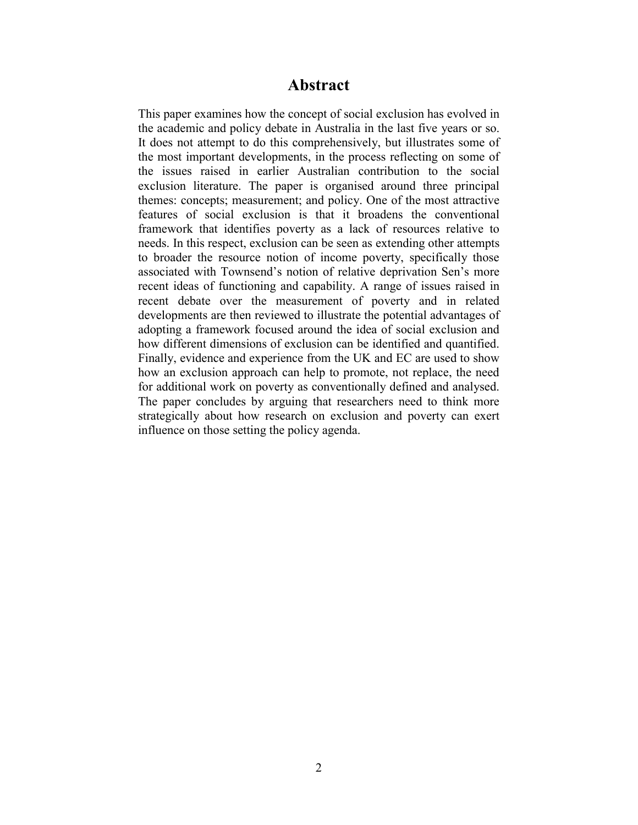## **Abstract**

This paper examines how the concept of social exclusion has evolved in the academic and policy debate in Australia in the last five years or so. It does not attempt to do this comprehensively, but illustrates some of the most important developments, in the process reflecting on some of the issues raised in earlier Australian contribution to the social exclusion literature. The paper is organised around three principal themes: concepts; measurement; and policy. One of the most attractive features of social exclusion is that it broadens the conventional framework that identifies poverty as a lack of resources relative to needs. In this respect, exclusion can be seen as extending other attempts to broader the resource notion of income poverty, specifically those associated with Townsend's notion of relative deprivation Sen's more recent ideas of functioning and capability. A range of issues raised in recent debate over the measurement of poverty and in related developments are then reviewed to illustrate the potential advantages of adopting a framework focused around the idea of social exclusion and how different dimensions of exclusion can be identified and quantified. Finally, evidence and experience from the UK and EC are used to show how an exclusion approach can help to promote, not replace, the need for additional work on poverty as conventionally defined and analysed. The paper concludes by arguing that researchers need to think more strategically about how research on exclusion and poverty can exert influence on those setting the policy agenda.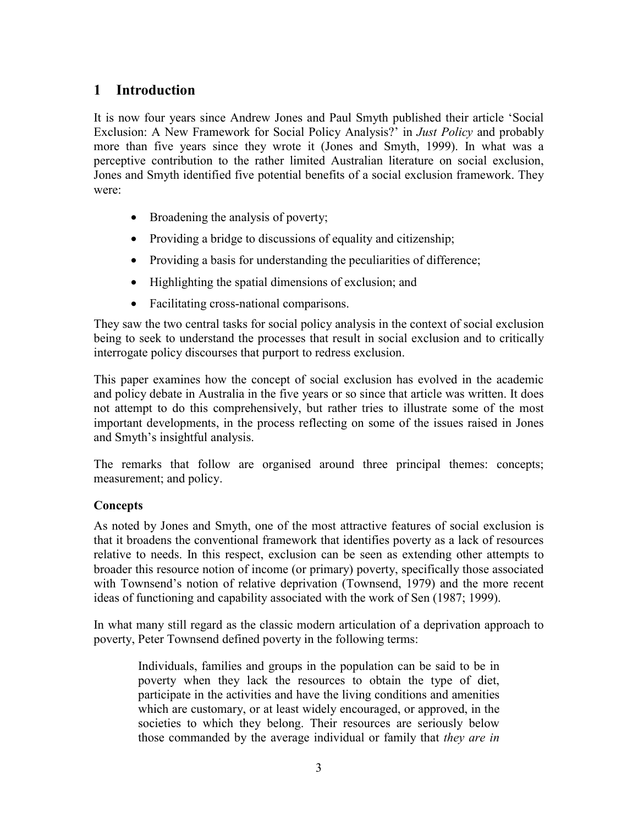## **1 Introduction**

It is now four years since Andrew Jones and Paul Smyth published their article 'Social Exclusion: A New Framework for Social Policy Analysis?' in *Just Policy* and probably more than five years since they wrote it (Jones and Smyth, 1999). In what was a perceptive contribution to the rather limited Australian literature on social exclusion, Jones and Smyth identified five potential benefits of a social exclusion framework. They were:

- Broadening the analysis of poverty;
- Providing a bridge to discussions of equality and citizenship;
- Providing a basis for understanding the peculiarities of difference;
- Highlighting the spatial dimensions of exclusion; and
- Facilitating cross-national comparisons.

They saw the two central tasks for social policy analysis in the context of social exclusion being to seek to understand the processes that result in social exclusion and to critically interrogate policy discourses that purport to redress exclusion.

This paper examines how the concept of social exclusion has evolved in the academic and policy debate in Australia in the five years or so since that article was written. It does not attempt to do this comprehensively, but rather tries to illustrate some of the most important developments, in the process reflecting on some of the issues raised in Jones and Smyth's insightful analysis.

The remarks that follow are organised around three principal themes: concepts; measurement; and policy.

#### **Concepts**

As noted by Jones and Smyth, one of the most attractive features of social exclusion is that it broadens the conventional framework that identifies poverty as a lack of resources relative to needs. In this respect, exclusion can be seen as extending other attempts to broader this resource notion of income (or primary) poverty, specifically those associated with Townsend's notion of relative deprivation (Townsend, 1979) and the more recent ideas of functioning and capability associated with the work of Sen (1987; 1999).

In what many still regard as the classic modern articulation of a deprivation approach to poverty, Peter Townsend defined poverty in the following terms:

Individuals, families and groups in the population can be said to be in poverty when they lack the resources to obtain the type of diet, participate in the activities and have the living conditions and amenities which are customary, or at least widely encouraged, or approved, in the societies to which they belong. Their resources are seriously below those commanded by the average individual or family that *they are in*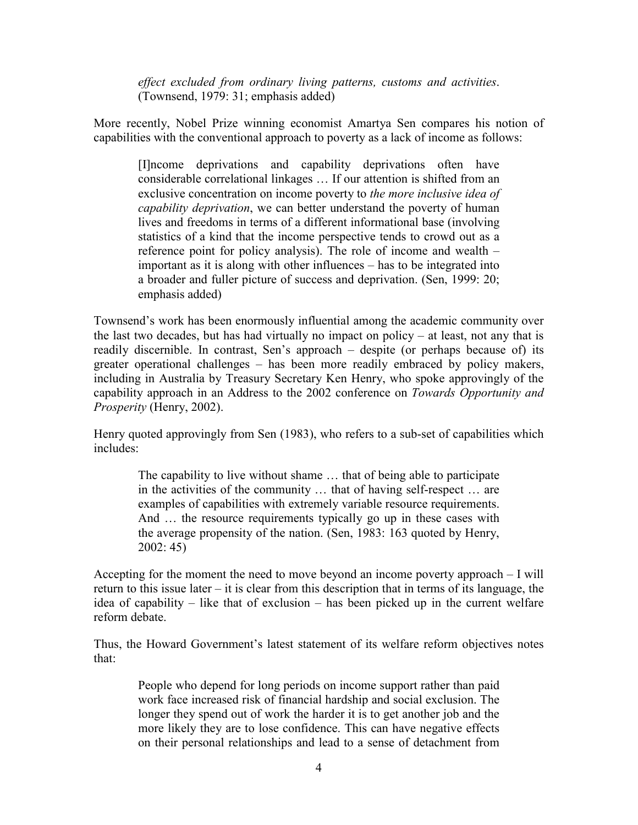*effect excluded from ordinary living patterns, customs and activities*. (Townsend, 1979: 31; emphasis added)

More recently, Nobel Prize winning economist Amartya Sen compares his notion of capabilities with the conventional approach to poverty as a lack of income as follows:

[I]ncome deprivations and capability deprivations often have considerable correlational linkages … If our attention is shifted from an exclusive concentration on income poverty to *the more inclusive idea of capability deprivation*, we can better understand the poverty of human lives and freedoms in terms of a different informational base (involving statistics of a kind that the income perspective tends to crowd out as a reference point for policy analysis). The role of income and wealth – important as it is along with other influences – has to be integrated into a broader and fuller picture of success and deprivation. (Sen, 1999: 20; emphasis added)

Townsend's work has been enormously influential among the academic community over the last two decades, but has had virtually no impact on policy – at least, not any that is readily discernible. In contrast, Sen's approach – despite (or perhaps because of) its greater operational challenges – has been more readily embraced by policy makers, including in Australia by Treasury Secretary Ken Henry, who spoke approvingly of the capability approach in an Address to the 2002 conference on *Towards Opportunity and Prosperity* (Henry, 2002).

Henry quoted approvingly from Sen (1983), who refers to a sub-set of capabilities which includes:

The capability to live without shame … that of being able to participate in the activities of the community … that of having self-respect … are examples of capabilities with extremely variable resource requirements. And ... the resource requirements typically go up in these cases with the average propensity of the nation. (Sen, 1983: 163 quoted by Henry, 2002: 45)

Accepting for the moment the need to move beyond an income poverty approach – I will return to this issue later – it is clear from this description that in terms of its language, the idea of capability – like that of exclusion – has been picked up in the current welfare reform debate.

Thus, the Howard Government's latest statement of its welfare reform objectives notes that:

People who depend for long periods on income support rather than paid work face increased risk of financial hardship and social exclusion. The longer they spend out of work the harder it is to get another job and the more likely they are to lose confidence. This can have negative effects on their personal relationships and lead to a sense of detachment from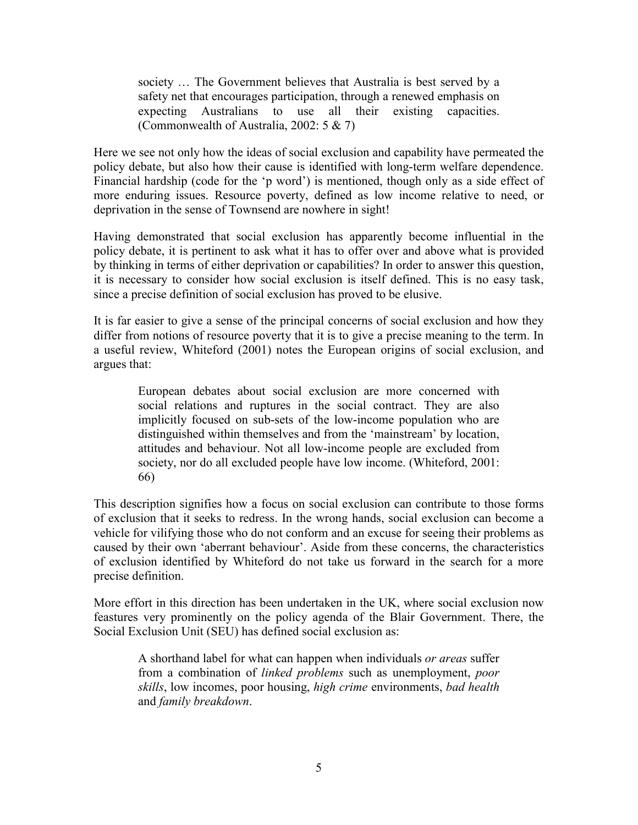society … The Government believes that Australia is best served by a safety net that encourages participation, through a renewed emphasis on expecting Australians to use all their existing capacities. (Commonwealth of Australia, 2002: 5 & 7)

Here we see not only how the ideas of social exclusion and capability have permeated the policy debate, but also how their cause is identified with long-term welfare dependence. Financial hardship (code for the 'p word') is mentioned, though only as a side effect of more enduring issues. Resource poverty, defined as low income relative to need, or deprivation in the sense of Townsend are nowhere in sight!

Having demonstrated that social exclusion has apparently become influential in the policy debate, it is pertinent to ask what it has to offer over and above what is provided by thinking in terms of either deprivation or capabilities? In order to answer this question, it is necessary to consider how social exclusion is itself defined. This is no easy task, since a precise definition of social exclusion has proved to be elusive.

It is far easier to give a sense of the principal concerns of social exclusion and how they differ from notions of resource poverty that it is to give a precise meaning to the term. In a useful review, Whiteford (2001) notes the European origins of social exclusion, and argues that:

European debates about social exclusion are more concerned with social relations and ruptures in the social contract. They are also implicitly focused on sub-sets of the low-income population who are distinguished within themselves and from the 'mainstream' by location, attitudes and behaviour. Not all low-income people are excluded from society, nor do all excluded people have low income. (Whiteford, 2001: 66)

This description signifies how a focus on social exclusion can contribute to those forms of exclusion that it seeks to redress. In the wrong hands, social exclusion can become a vehicle for vilifying those who do not conform and an excuse for seeing their problems as caused by their own 'aberrant behaviour'. Aside from these concerns, the characteristics of exclusion identified by Whiteford do not take us forward in the search for a more precise definition.

More effort in this direction has been undertaken in the UK, where social exclusion now feastures very prominently on the policy agenda of the Blair Government. There, the Social Exclusion Unit (SEU) has defined social exclusion as:

A shorthand label for what can happen when individuals *or areas* suffer from a combination of *linked problems* such as unemployment, *poor skills*, low incomes, poor housing, *high crime* environments, *bad health* and *family breakdown*.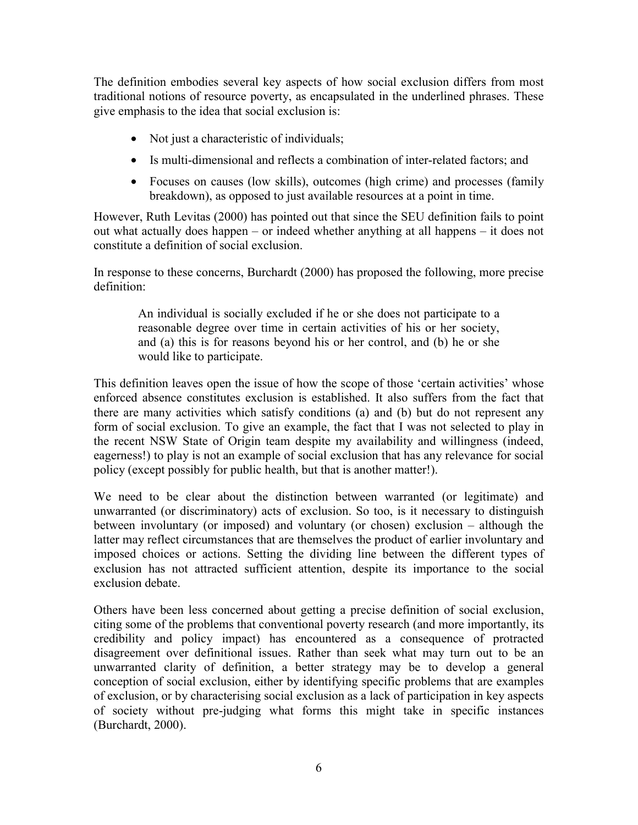The definition embodies several key aspects of how social exclusion differs from most traditional notions of resource poverty, as encapsulated in the underlined phrases. These give emphasis to the idea that social exclusion is:

- Not just a characteristic of individuals;
- Is multi-dimensional and reflects a combination of inter-related factors; and
- Focuses on causes (low skills), outcomes (high crime) and processes (family breakdown), as opposed to just available resources at a point in time.

However, Ruth Levitas (2000) has pointed out that since the SEU definition fails to point out what actually does happen – or indeed whether anything at all happens – it does not constitute a definition of social exclusion.

In response to these concerns, Burchardt (2000) has proposed the following, more precise definition:

An individual is socially excluded if he or she does not participate to a reasonable degree over time in certain activities of his or her society, and (a) this is for reasons beyond his or her control, and (b) he or she would like to participate.

This definition leaves open the issue of how the scope of those 'certain activities' whose enforced absence constitutes exclusion is established. It also suffers from the fact that there are many activities which satisfy conditions (a) and (b) but do not represent any form of social exclusion. To give an example, the fact that I was not selected to play in the recent NSW State of Origin team despite my availability and willingness (indeed, eagerness!) to play is not an example of social exclusion that has any relevance for social policy (except possibly for public health, but that is another matter!).

We need to be clear about the distinction between warranted (or legitimate) and unwarranted (or discriminatory) acts of exclusion. So too, is it necessary to distinguish between involuntary (or imposed) and voluntary (or chosen) exclusion – although the latter may reflect circumstances that are themselves the product of earlier involuntary and imposed choices or actions. Setting the dividing line between the different types of exclusion has not attracted sufficient attention, despite its importance to the social exclusion debate.

Others have been less concerned about getting a precise definition of social exclusion, citing some of the problems that conventional poverty research (and more importantly, its credibility and policy impact) has encountered as a consequence of protracted disagreement over definitional issues. Rather than seek what may turn out to be an unwarranted clarity of definition, a better strategy may be to develop a general conception of social exclusion, either by identifying specific problems that are examples of exclusion, or by characterising social exclusion as a lack of participation in key aspects of society without pre-judging what forms this might take in specific instances (Burchardt, 2000).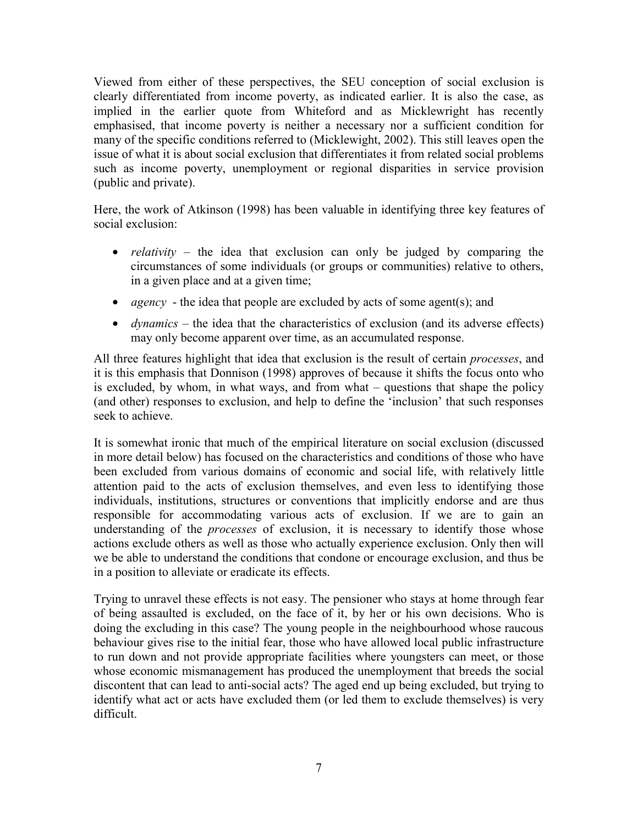Viewed from either of these perspectives, the SEU conception of social exclusion is clearly differentiated from income poverty, as indicated earlier. It is also the case, as implied in the earlier quote from Whiteford and as Micklewright has recently emphasised, that income poverty is neither a necessary nor a sufficient condition for many of the specific conditions referred to (Micklewight, 2002). This still leaves open the issue of what it is about social exclusion that differentiates it from related social problems such as income poverty, unemployment or regional disparities in service provision (public and private).

Here, the work of Atkinson (1998) has been valuable in identifying three key features of social exclusion:

- *relativity* the idea that exclusion can only be judged by comparing the circumstances of some individuals (or groups or communities) relative to others, in a given place and at a given time;
- *agency* the idea that people are excluded by acts of some agent(s); and
- *dynamics* the idea that the characteristics of exclusion (and its adverse effects) may only become apparent over time, as an accumulated response.

All three features highlight that idea that exclusion is the result of certain *processes*, and it is this emphasis that Donnison (1998) approves of because it shifts the focus onto who is excluded, by whom, in what ways, and from what – questions that shape the policy (and other) responses to exclusion, and help to define the 'inclusion' that such responses seek to achieve.

It is somewhat ironic that much of the empirical literature on social exclusion (discussed in more detail below) has focused on the characteristics and conditions of those who have been excluded from various domains of economic and social life, with relatively little attention paid to the acts of exclusion themselves, and even less to identifying those individuals, institutions, structures or conventions that implicitly endorse and are thus responsible for accommodating various acts of exclusion. If we are to gain an understanding of the *processes* of exclusion, it is necessary to identify those whose actions exclude others as well as those who actually experience exclusion. Only then will we be able to understand the conditions that condone or encourage exclusion, and thus be in a position to alleviate or eradicate its effects.

Trying to unravel these effects is not easy. The pensioner who stays at home through fear of being assaulted is excluded, on the face of it, by her or his own decisions. Who is doing the excluding in this case? The young people in the neighbourhood whose raucous behaviour gives rise to the initial fear, those who have allowed local public infrastructure to run down and not provide appropriate facilities where youngsters can meet, or those whose economic mismanagement has produced the unemployment that breeds the social discontent that can lead to anti-social acts? The aged end up being excluded, but trying to identify what act or acts have excluded them (or led them to exclude themselves) is very difficult.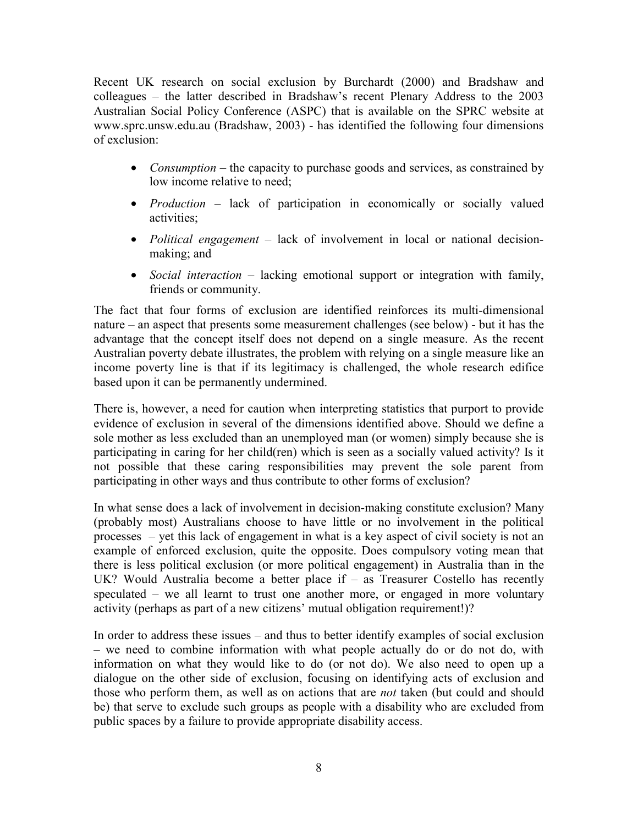Recent UK research on social exclusion by Burchardt (2000) and Bradshaw and colleagues – the latter described in Bradshaw's recent Plenary Address to the 2003 Australian Social Policy Conference (ASPC) that is available on the SPRC website at www.sprc.unsw.edu.au (Bradshaw, 2003) - has identified the following four dimensions of exclusion:

- *Consumption* the capacity to purchase goods and services, as constrained by low income relative to need;
- *Production* lack of participation in economically or socially valued activities;
- *Political engagement* lack of involvement in local or national decisionmaking; and
- *Social interaction* lacking emotional support or integration with family, friends or community.

The fact that four forms of exclusion are identified reinforces its multi-dimensional nature – an aspect that presents some measurement challenges (see below) - but it has the advantage that the concept itself does not depend on a single measure. As the recent Australian poverty debate illustrates, the problem with relying on a single measure like an income poverty line is that if its legitimacy is challenged, the whole research edifice based upon it can be permanently undermined.

There is, however, a need for caution when interpreting statistics that purport to provide evidence of exclusion in several of the dimensions identified above. Should we define a sole mother as less excluded than an unemployed man (or women) simply because she is participating in caring for her child(ren) which is seen as a socially valued activity? Is it not possible that these caring responsibilities may prevent the sole parent from participating in other ways and thus contribute to other forms of exclusion?

In what sense does a lack of involvement in decision-making constitute exclusion? Many (probably most) Australians choose to have little or no involvement in the political processes – yet this lack of engagement in what is a key aspect of civil society is not an example of enforced exclusion, quite the opposite. Does compulsory voting mean that there is less political exclusion (or more political engagement) in Australia than in the UK? Would Australia become a better place if – as Treasurer Costello has recently speculated – we all learnt to trust one another more, or engaged in more voluntary activity (perhaps as part of a new citizens' mutual obligation requirement!)?

In order to address these issues – and thus to better identify examples of social exclusion – we need to combine information with what people actually do or do not do, with information on what they would like to do (or not do). We also need to open up a dialogue on the other side of exclusion, focusing on identifying acts of exclusion and those who perform them, as well as on actions that are *not* taken (but could and should be) that serve to exclude such groups as people with a disability who are excluded from public spaces by a failure to provide appropriate disability access.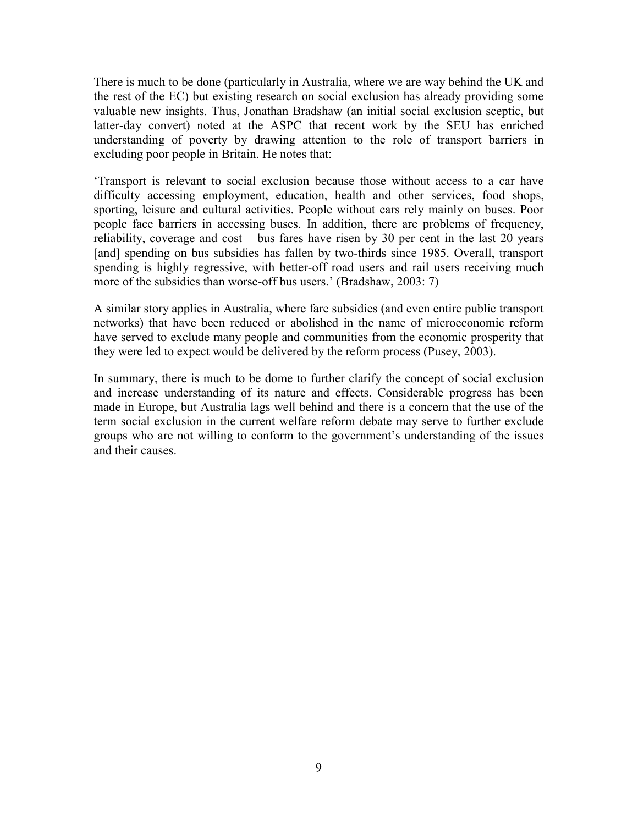There is much to be done (particularly in Australia, where we are way behind the UK and the rest of the EC) but existing research on social exclusion has already providing some valuable new insights. Thus, Jonathan Bradshaw (an initial social exclusion sceptic, but latter-day convert) noted at the ASPC that recent work by the SEU has enriched understanding of poverty by drawing attention to the role of transport barriers in excluding poor people in Britain. He notes that:

'Transport is relevant to social exclusion because those without access to a car have difficulty accessing employment, education, health and other services, food shops, sporting, leisure and cultural activities. People without cars rely mainly on buses. Poor people face barriers in accessing buses. In addition, there are problems of frequency, reliability, coverage and cost – bus fares have risen by 30 per cent in the last 20 years [and] spending on bus subsidies has fallen by two-thirds since 1985. Overall, transport spending is highly regressive, with better-off road users and rail users receiving much more of the subsidies than worse-off bus users.' (Bradshaw, 2003: 7)

A similar story applies in Australia, where fare subsidies (and even entire public transport networks) that have been reduced or abolished in the name of microeconomic reform have served to exclude many people and communities from the economic prosperity that they were led to expect would be delivered by the reform process (Pusey, 2003).

In summary, there is much to be dome to further clarify the concept of social exclusion and increase understanding of its nature and effects. Considerable progress has been made in Europe, but Australia lags well behind and there is a concern that the use of the term social exclusion in the current welfare reform debate may serve to further exclude groups who are not willing to conform to the government's understanding of the issues and their causes.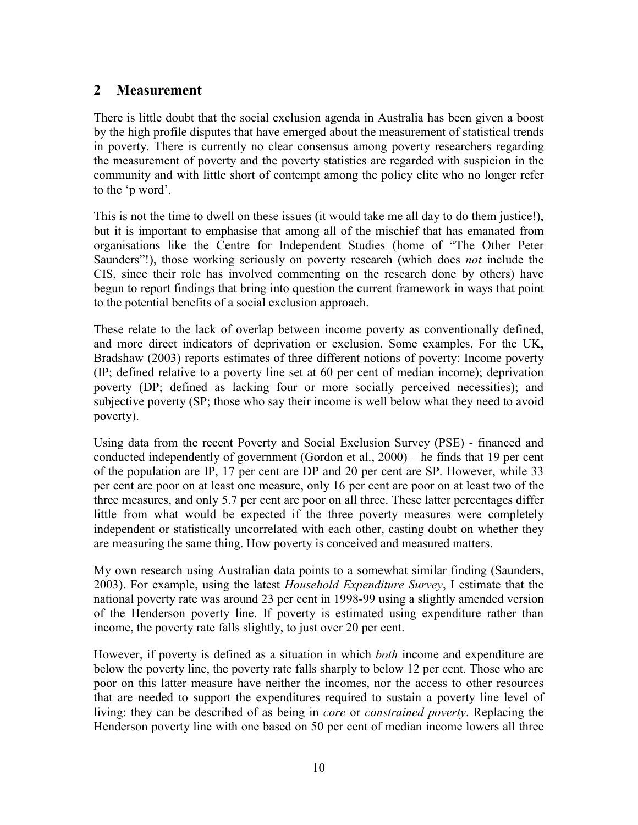#### **2 Measurement**

There is little doubt that the social exclusion agenda in Australia has been given a boost by the high profile disputes that have emerged about the measurement of statistical trends in poverty. There is currently no clear consensus among poverty researchers regarding the measurement of poverty and the poverty statistics are regarded with suspicion in the community and with little short of contempt among the policy elite who no longer refer to the 'p word'.

This is not the time to dwell on these issues (it would take me all day to do them justice!), but it is important to emphasise that among all of the mischief that has emanated from organisations like the Centre for Independent Studies (home of "The Other Peter Saunders"!), those working seriously on poverty research (which does *not* include the CIS, since their role has involved commenting on the research done by others) have begun to report findings that bring into question the current framework in ways that point to the potential benefits of a social exclusion approach.

These relate to the lack of overlap between income poverty as conventionally defined, and more direct indicators of deprivation or exclusion. Some examples. For the UK, Bradshaw (2003) reports estimates of three different notions of poverty: Income poverty (IP; defined relative to a poverty line set at 60 per cent of median income); deprivation poverty (DP; defined as lacking four or more socially perceived necessities); and subjective poverty (SP; those who say their income is well below what they need to avoid poverty).

Using data from the recent Poverty and Social Exclusion Survey (PSE) - financed and conducted independently of government (Gordon et al., 2000) – he finds that 19 per cent of the population are IP, 17 per cent are DP and 20 per cent are SP. However, while 33 per cent are poor on at least one measure, only 16 per cent are poor on at least two of the three measures, and only 5.7 per cent are poor on all three. These latter percentages differ little from what would be expected if the three poverty measures were completely independent or statistically uncorrelated with each other, casting doubt on whether they are measuring the same thing. How poverty is conceived and measured matters.

My own research using Australian data points to a somewhat similar finding (Saunders, 2003). For example, using the latest *Household Expenditure Survey*, I estimate that the national poverty rate was around 23 per cent in 1998-99 using a slightly amended version of the Henderson poverty line. If poverty is estimated using expenditure rather than income, the poverty rate falls slightly, to just over 20 per cent.

However, if poverty is defined as a situation in which *both* income and expenditure are below the poverty line, the poverty rate falls sharply to below 12 per cent. Those who are poor on this latter measure have neither the incomes, nor the access to other resources that are needed to support the expenditures required to sustain a poverty line level of living: they can be described of as being in *core* or *constrained poverty*. Replacing the Henderson poverty line with one based on 50 per cent of median income lowers all three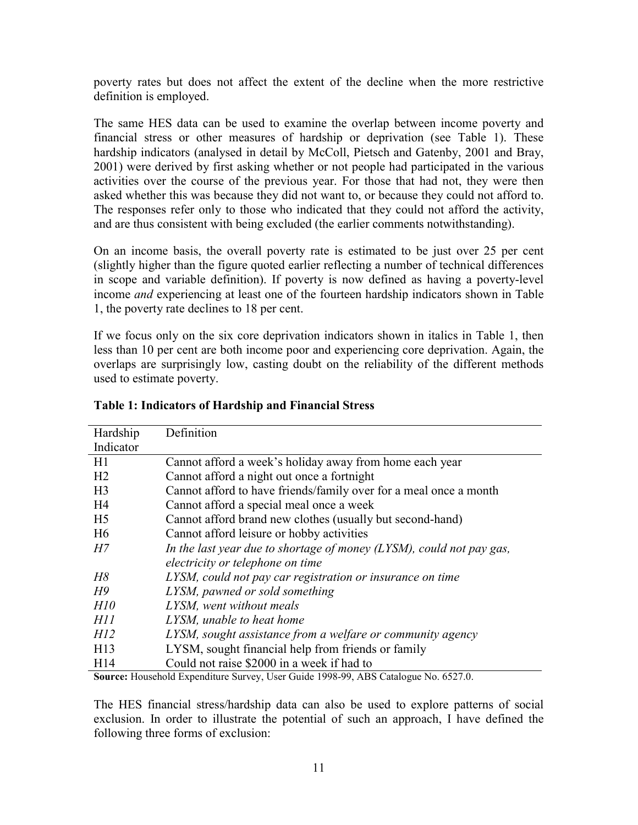poverty rates but does not affect the extent of the decline when the more restrictive definition is employed.

The same HES data can be used to examine the overlap between income poverty and financial stress or other measures of hardship or deprivation (see Table 1). These hardship indicators (analysed in detail by McColl, Pietsch and Gatenby, 2001 and Bray, 2001) were derived by first asking whether or not people had participated in the various activities over the course of the previous year. For those that had not, they were then asked whether this was because they did not want to, or because they could not afford to. The responses refer only to those who indicated that they could not afford the activity, and are thus consistent with being excluded (the earlier comments notwithstanding).

On an income basis, the overall poverty rate is estimated to be just over 25 per cent (slightly higher than the figure quoted earlier reflecting a number of technical differences in scope and variable definition). If poverty is now defined as having a poverty-level income *and* experiencing at least one of the fourteen hardship indicators shown in Table 1, the poverty rate declines to 18 per cent.

If we focus only on the six core deprivation indicators shown in italics in Table 1, then less than 10 per cent are both income poor and experiencing core deprivation. Again, the overlaps are surprisingly low, casting doubt on the reliability of the different methods used to estimate poverty.

| Hardship        | Definition                                                                                                                                                                                                                                                                                                                                                                       |  |  |  |
|-----------------|----------------------------------------------------------------------------------------------------------------------------------------------------------------------------------------------------------------------------------------------------------------------------------------------------------------------------------------------------------------------------------|--|--|--|
| Indicator       |                                                                                                                                                                                                                                                                                                                                                                                  |  |  |  |
| H1              | Cannot afford a week's holiday away from home each year                                                                                                                                                                                                                                                                                                                          |  |  |  |
| H <sub>2</sub>  | Cannot afford a night out once a fortnight                                                                                                                                                                                                                                                                                                                                       |  |  |  |
| H <sub>3</sub>  | Cannot afford to have friends/family over for a meal once a month                                                                                                                                                                                                                                                                                                                |  |  |  |
| H4              | Cannot afford a special meal once a week                                                                                                                                                                                                                                                                                                                                         |  |  |  |
| H <sub>5</sub>  | Cannot afford brand new clothes (usually but second-hand)                                                                                                                                                                                                                                                                                                                        |  |  |  |
| H <sub>6</sub>  | Cannot afford leisure or hobby activities                                                                                                                                                                                                                                                                                                                                        |  |  |  |
| H7              | In the last year due to shortage of money $(LYSM)$ , could not pay gas,                                                                                                                                                                                                                                                                                                          |  |  |  |
|                 | electricity or telephone on time                                                                                                                                                                                                                                                                                                                                                 |  |  |  |
| H8              | LYSM, could not pay car registration or insurance on time                                                                                                                                                                                                                                                                                                                        |  |  |  |
| H9              | LYSM, pawned or sold something                                                                                                                                                                                                                                                                                                                                                   |  |  |  |
| H10             | LYSM, went without meals                                                                                                                                                                                                                                                                                                                                                         |  |  |  |
| HII             | LYSM, unable to heat home                                                                                                                                                                                                                                                                                                                                                        |  |  |  |
| H12             | LYSM, sought assistance from a welfare or community agency                                                                                                                                                                                                                                                                                                                       |  |  |  |
| H13             | LYSM, sought financial help from friends or family                                                                                                                                                                                                                                                                                                                               |  |  |  |
| H <sub>14</sub> | Could not raise \$2000 in a week if had to                                                                                                                                                                                                                                                                                                                                       |  |  |  |
| $\mathbf{r}$    | $\mathbf{r}$ $\mathbf{r}$ $\mathbf{r}$ $\mathbf{r}$ $\mathbf{r}$ $\mathbf{r}$ $\mathbf{r}$ $\mathbf{r}$ $\mathbf{r}$ $\mathbf{r}$ $\mathbf{r}$ $\mathbf{r}$ $\mathbf{r}$ $\mathbf{r}$ $\mathbf{r}$ $\mathbf{r}$ $\mathbf{r}$ $\mathbf{r}$ $\mathbf{r}$ $\mathbf{r}$ $\mathbf{r}$ $\mathbf{r}$ $\mathbf{r}$ $\mathbf{r}$ $\mathbf{$<br>$\mathbf{r}$<br>$\epsilon$ = $\sim$ $\sim$ |  |  |  |

#### **Table 1: Indicators of Hardship and Financial Stress**

**Source:** Household Expenditure Survey, User Guide 1998-99, ABS Catalogue No. 6527.0.

The HES financial stress/hardship data can also be used to explore patterns of social exclusion. In order to illustrate the potential of such an approach, I have defined the following three forms of exclusion: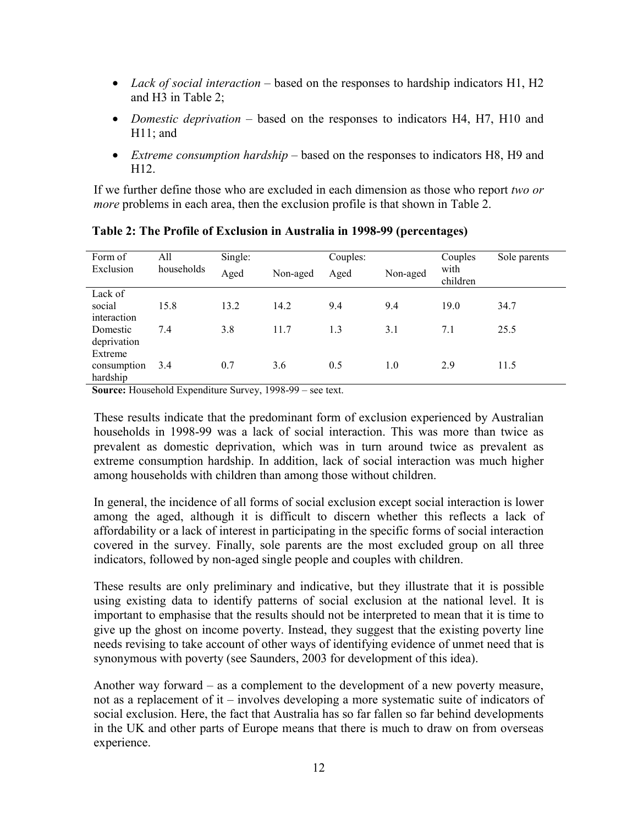- *Lack of social interaction* based on the responses to hardship indicators H1, H2 and H3 in Table 2;
- *Domestic deprivation* based on the responses to indicators H4, H7, H10 and H11; and
- *Extreme consumption hardship* based on the responses to indicators H8, H9 and H12.

If we further define those who are excluded in each dimension as those who report *two or more* problems in each area, then the exclusion profile is that shown in Table 2.

| Form of<br>Exclusion | All<br>households | Single:<br>Aged | Non-aged | Couples:<br>Aged | Non-aged | Couples<br>with<br>children | Sole parents |
|----------------------|-------------------|-----------------|----------|------------------|----------|-----------------------------|--------------|
| Lack of              |                   |                 |          |                  |          |                             |              |
| social               | 15.8              | 13.2            | 14.2     | 9.4              | 9.4      | 19.0                        | 34.7         |
| interaction          |                   |                 |          |                  |          |                             |              |
| Domestic             | 7.4               | 3.8             | 11.7     | 1.3              | 3.1      | 7.1                         | 25.5         |
| deprivation          |                   |                 |          |                  |          |                             |              |
| Extreme              |                   |                 |          |                  |          |                             |              |
| consumption          | 3.4               | 0.7             | 3.6      | 0.5              | 1.0      | 2.9                         | 11.5         |
| hardship             |                   |                 |          |                  |          |                             |              |

**Table 2: The Profile of Exclusion in Australia in 1998-99 (percentages)** 

**Source:** Household Expenditure Survey, 1998-99 – see text.

These results indicate that the predominant form of exclusion experienced by Australian households in 1998-99 was a lack of social interaction. This was more than twice as prevalent as domestic deprivation, which was in turn around twice as prevalent as extreme consumption hardship. In addition, lack of social interaction was much higher among households with children than among those without children.

In general, the incidence of all forms of social exclusion except social interaction is lower among the aged, although it is difficult to discern whether this reflects a lack of affordability or a lack of interest in participating in the specific forms of social interaction covered in the survey. Finally, sole parents are the most excluded group on all three indicators, followed by non-aged single people and couples with children.

These results are only preliminary and indicative, but they illustrate that it is possible using existing data to identify patterns of social exclusion at the national level. It is important to emphasise that the results should not be interpreted to mean that it is time to give up the ghost on income poverty. Instead, they suggest that the existing poverty line needs revising to take account of other ways of identifying evidence of unmet need that is synonymous with poverty (see Saunders, 2003 for development of this idea).

Another way forward – as a complement to the development of a new poverty measure, not as a replacement of it – involves developing a more systematic suite of indicators of social exclusion. Here, the fact that Australia has so far fallen so far behind developments in the UK and other parts of Europe means that there is much to draw on from overseas experience.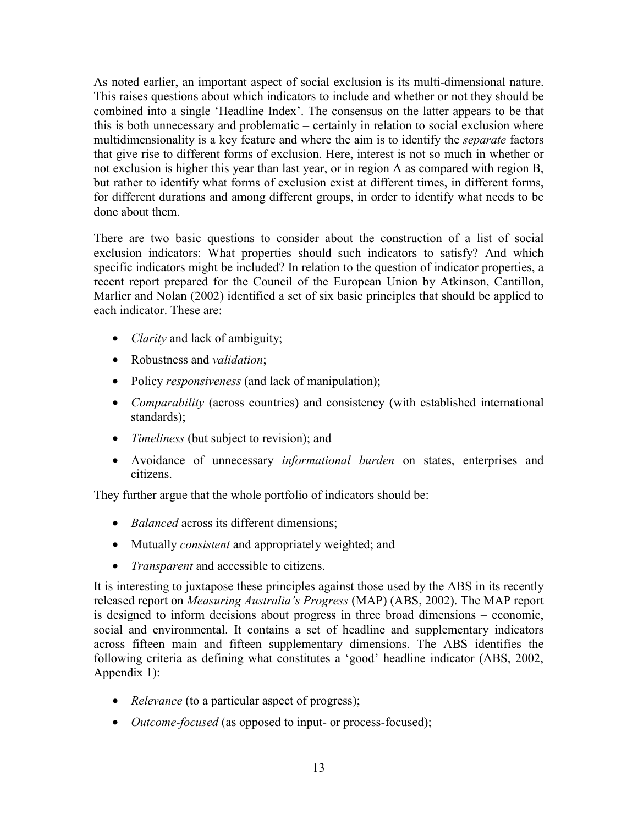As noted earlier, an important aspect of social exclusion is its multi-dimensional nature. This raises questions about which indicators to include and whether or not they should be combined into a single 'Headline Index'. The consensus on the latter appears to be that this is both unnecessary and problematic – certainly in relation to social exclusion where multidimensionality is a key feature and where the aim is to identify the *separate* factors that give rise to different forms of exclusion. Here, interest is not so much in whether or not exclusion is higher this year than last year, or in region A as compared with region B, but rather to identify what forms of exclusion exist at different times, in different forms, for different durations and among different groups, in order to identify what needs to be done about them.

There are two basic questions to consider about the construction of a list of social exclusion indicators: What properties should such indicators to satisfy? And which specific indicators might be included? In relation to the question of indicator properties, a recent report prepared for the Council of the European Union by Atkinson, Cantillon, Marlier and Nolan (2002) identified a set of six basic principles that should be applied to each indicator. These are:

- *Clarity* and lack of ambiguity;
- Robustness and *validation*;
- Policy *responsiveness* (and lack of manipulation);
- *Comparability* (across countries) and consistency (with established international standards);
- *Timeliness* (but subject to revision); and
- Avoidance of unnecessary *informational burden* on states, enterprises and citizens.

They further argue that the whole portfolio of indicators should be:

- *Balanced* across its different dimensions;
- Mutually *consistent* and appropriately weighted; and
- *Transparent* and accessible to citizens.

It is interesting to juxtapose these principles against those used by the ABS in its recently released report on *Measuring Australia's Progress* (MAP) (ABS, 2002). The MAP report is designed to inform decisions about progress in three broad dimensions – economic, social and environmental. It contains a set of headline and supplementary indicators across fifteen main and fifteen supplementary dimensions. The ABS identifies the following criteria as defining what constitutes a 'good' headline indicator (ABS, 2002, Appendix 1):

- *Relevance* (to a particular aspect of progress);
- *Outcome-focused* (as opposed to input- or process-focused);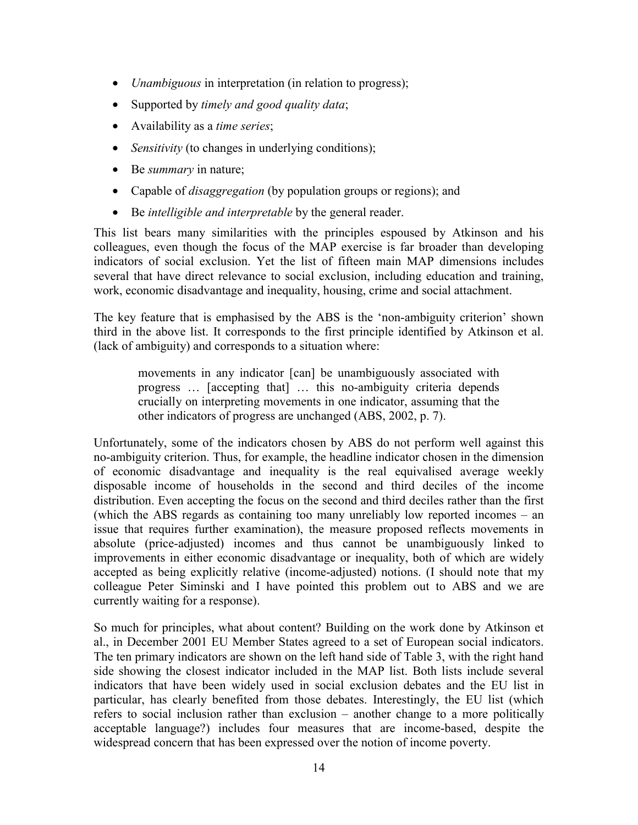- *Unambiguous* in interpretation (in relation to progress);
- Supported by *timely and good quality data*;
- Availability as a *time series*;
- *Sensitivity* (to changes in underlying conditions);
- Be *summary* in nature;
- Capable of *disaggregation* (by population groups or regions); and
- Be *intelligible and interpretable* by the general reader.

This list bears many similarities with the principles espoused by Atkinson and his colleagues, even though the focus of the MAP exercise is far broader than developing indicators of social exclusion. Yet the list of fifteen main MAP dimensions includes several that have direct relevance to social exclusion, including education and training, work, economic disadvantage and inequality, housing, crime and social attachment.

The key feature that is emphasised by the ABS is the 'non-ambiguity criterion' shown third in the above list. It corresponds to the first principle identified by Atkinson et al. (lack of ambiguity) and corresponds to a situation where:

movements in any indicator [can] be unambiguously associated with progress … [accepting that] … this no-ambiguity criteria depends crucially on interpreting movements in one indicator, assuming that the other indicators of progress are unchanged (ABS, 2002, p. 7).

Unfortunately, some of the indicators chosen by ABS do not perform well against this no-ambiguity criterion. Thus, for example, the headline indicator chosen in the dimension of economic disadvantage and inequality is the real equivalised average weekly disposable income of households in the second and third deciles of the income distribution. Even accepting the focus on the second and third deciles rather than the first (which the ABS regards as containing too many unreliably low reported incomes – an issue that requires further examination), the measure proposed reflects movements in absolute (price-adjusted) incomes and thus cannot be unambiguously linked to improvements in either economic disadvantage or inequality, both of which are widely accepted as being explicitly relative (income-adjusted) notions. (I should note that my colleague Peter Siminski and I have pointed this problem out to ABS and we are currently waiting for a response).

So much for principles, what about content? Building on the work done by Atkinson et al., in December 2001 EU Member States agreed to a set of European social indicators. The ten primary indicators are shown on the left hand side of Table 3, with the right hand side showing the closest indicator included in the MAP list. Both lists include several indicators that have been widely used in social exclusion debates and the EU list in particular, has clearly benefited from those debates. Interestingly, the EU list (which refers to social inclusion rather than exclusion – another change to a more politically acceptable language?) includes four measures that are income-based, despite the widespread concern that has been expressed over the notion of income poverty.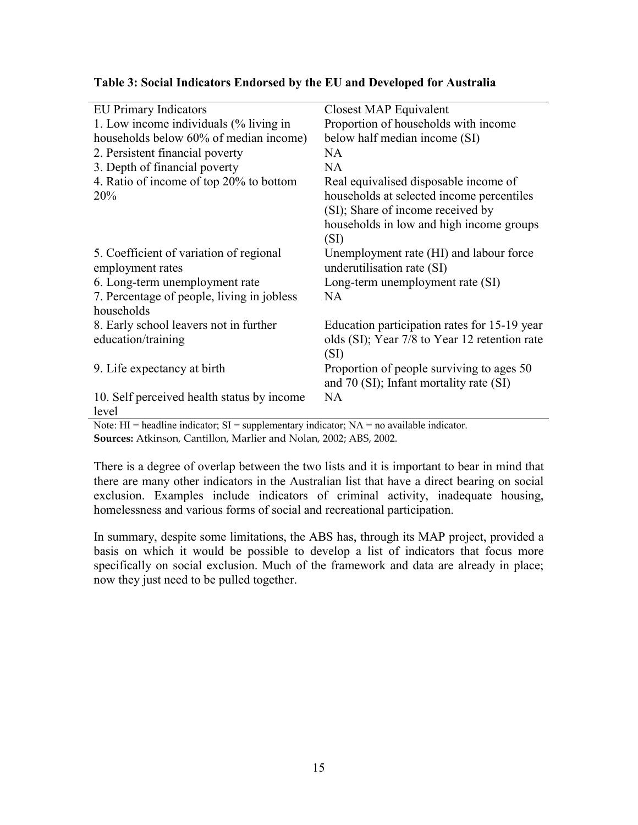| <b>EU Primary Indicators</b>               | Closest MAP Equivalent                        |  |  |  |
|--------------------------------------------|-----------------------------------------------|--|--|--|
| 1. Low income individuals (% living in     | Proportion of households with income          |  |  |  |
| households below 60% of median income)     | below half median income (SI)                 |  |  |  |
| 2. Persistent financial poverty            | NA                                            |  |  |  |
| 3. Depth of financial poverty              | NA                                            |  |  |  |
| 4. Ratio of income of top 20% to bottom    | Real equivalised disposable income of         |  |  |  |
| 20%                                        | households at selected income percentiles     |  |  |  |
|                                            | (SI); Share of income received by             |  |  |  |
|                                            | households in low and high income groups      |  |  |  |
|                                            | (SI)                                          |  |  |  |
| 5. Coefficient of variation of regional    | Unemployment rate (HI) and labour force       |  |  |  |
| employment rates                           | underutilisation rate (SI)                    |  |  |  |
| 6. Long-term unemployment rate             | Long-term unemployment rate (SI)              |  |  |  |
| 7. Percentage of people, living in jobless | <b>NA</b>                                     |  |  |  |
| households                                 |                                               |  |  |  |
| 8. Early school leavers not in further     | Education participation rates for 15-19 year  |  |  |  |
| education/training                         | olds (SI); Year 7/8 to Year 12 retention rate |  |  |  |
|                                            | (SI)                                          |  |  |  |
| 9. Life expectancy at birth                | Proportion of people surviving to ages 50     |  |  |  |
|                                            | and 70 (SI); Infant mortality rate (SI)       |  |  |  |
| 10. Self perceived health status by income | <b>NA</b>                                     |  |  |  |
| level                                      |                                               |  |  |  |
| $\sim$                                     | the state of the state of the state of        |  |  |  |

Note:  $HI =$  headline indicator;  $SI =$  supplementary indicator;  $NA =$  no available indicator. **Sources:** Atkinson, Cantillon, Marlier and Nolan, 2002; ABS, 2002.

There is a degree of overlap between the two lists and it is important to bear in mind that there are many other indicators in the Australian list that have a direct bearing on social exclusion. Examples include indicators of criminal activity, inadequate housing, homelessness and various forms of social and recreational participation.

In summary, despite some limitations, the ABS has, through its MAP project, provided a basis on which it would be possible to develop a list of indicators that focus more specifically on social exclusion. Much of the framework and data are already in place; now they just need to be pulled together.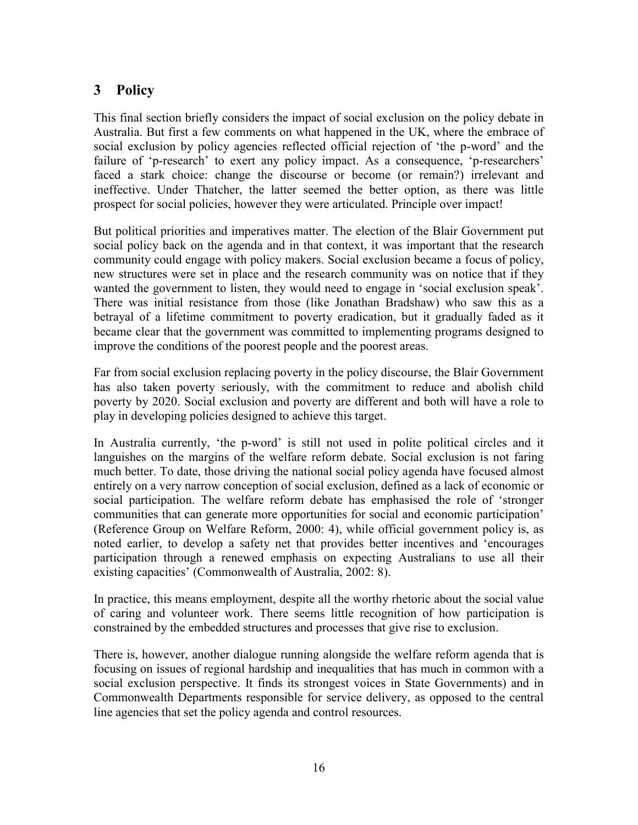## **3 Policy**

This final section briefly considers the impact of social exclusion on the policy debate in Australia. But first a few comments on what happened in the UK, where the embrace of social exclusion by policy agencies reflected official rejection of 'the p-word' and the failure of 'p-research' to exert any policy impact. As a consequence, 'p-researchers' faced a stark choice: change the discourse or become (or remain?) irrelevant and ineffective. Under Thatcher, the latter seemed the better option, as there was little prospect for social policies, however they were articulated. Principle over impact!

But political priorities and imperatives matter. The election of the Blair Government put social policy back on the agenda and in that context, it was important that the research community could engage with policy makers. Social exclusion became a focus of policy, new structures were set in place and the research community was on notice that if they wanted the government to listen, they would need to engage in 'social exclusion speak'. There was initial resistance from those (like Jonathan Bradshaw) who saw this as a betrayal of a lifetime commitment to poverty eradication, but it gradually faded as it became clear that the government was committed to implementing programs designed to improve the conditions of the poorest people and the poorest areas.

Far from social exclusion replacing poverty in the policy discourse, the Blair Government has also taken poverty seriously, with the commitment to reduce and abolish child poverty by 2020. Social exclusion and poverty are different and both will have a role to play in developing policies designed to achieve this target.

In Australia currently, 'the p-word' is still not used in polite political circles and it languishes on the margins of the welfare reform debate. Social exclusion is not faring much better. To date, those driving the national social policy agenda have focused almost entirely on a very narrow conception of social exclusion, defined as a lack of economic or social participation. The welfare reform debate has emphasised the role of 'stronger communities that can generate more opportunities for social and economic participation' (Reference Group on Welfare Reform, 2000: 4), while official government policy is, as noted earlier, to develop a safety net that provides better incentives and 'encourages participation through a renewed emphasis on expecting Australians to use all their existing capacities' (Commonwealth of Australia, 2002: 8).

In practice, this means employment, despite all the worthy rhetoric about the social value of caring and volunteer work. There seems little recognition of how participation is constrained by the embedded structures and processes that give rise to exclusion.

There is, however, another dialogue running alongside the welfare reform agenda that is focusing on issues of regional hardship and inequalities that has much in common with a social exclusion perspective. It finds its strongest voices in State Governments) and in Commonwealth Departments responsible for service delivery, as opposed to the central line agencies that set the policy agenda and control resources.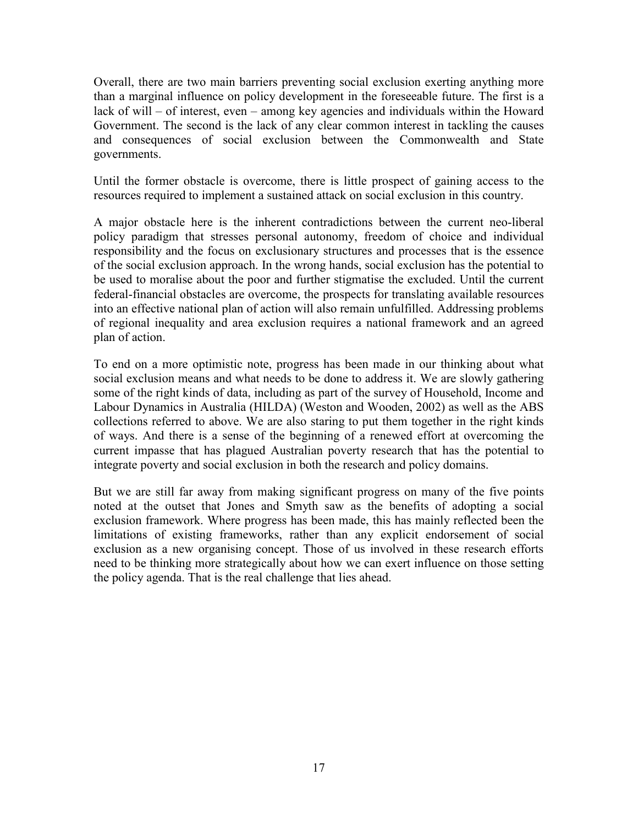Overall, there are two main barriers preventing social exclusion exerting anything more than a marginal influence on policy development in the foreseeable future. The first is a lack of will – of interest, even – among key agencies and individuals within the Howard Government. The second is the lack of any clear common interest in tackling the causes and consequences of social exclusion between the Commonwealth and State governments.

Until the former obstacle is overcome, there is little prospect of gaining access to the resources required to implement a sustained attack on social exclusion in this country.

A major obstacle here is the inherent contradictions between the current neo-liberal policy paradigm that stresses personal autonomy, freedom of choice and individual responsibility and the focus on exclusionary structures and processes that is the essence of the social exclusion approach. In the wrong hands, social exclusion has the potential to be used to moralise about the poor and further stigmatise the excluded. Until the current federal-financial obstacles are overcome, the prospects for translating available resources into an effective national plan of action will also remain unfulfilled. Addressing problems of regional inequality and area exclusion requires a national framework and an agreed plan of action.

To end on a more optimistic note, progress has been made in our thinking about what social exclusion means and what needs to be done to address it. We are slowly gathering some of the right kinds of data, including as part of the survey of Household, Income and Labour Dynamics in Australia (HILDA) (Weston and Wooden, 2002) as well as the ABS collections referred to above. We are also staring to put them together in the right kinds of ways. And there is a sense of the beginning of a renewed effort at overcoming the current impasse that has plagued Australian poverty research that has the potential to integrate poverty and social exclusion in both the research and policy domains.

But we are still far away from making significant progress on many of the five points noted at the outset that Jones and Smyth saw as the benefits of adopting a social exclusion framework. Where progress has been made, this has mainly reflected been the limitations of existing frameworks, rather than any explicit endorsement of social exclusion as a new organising concept. Those of us involved in these research efforts need to be thinking more strategically about how we can exert influence on those setting the policy agenda. That is the real challenge that lies ahead.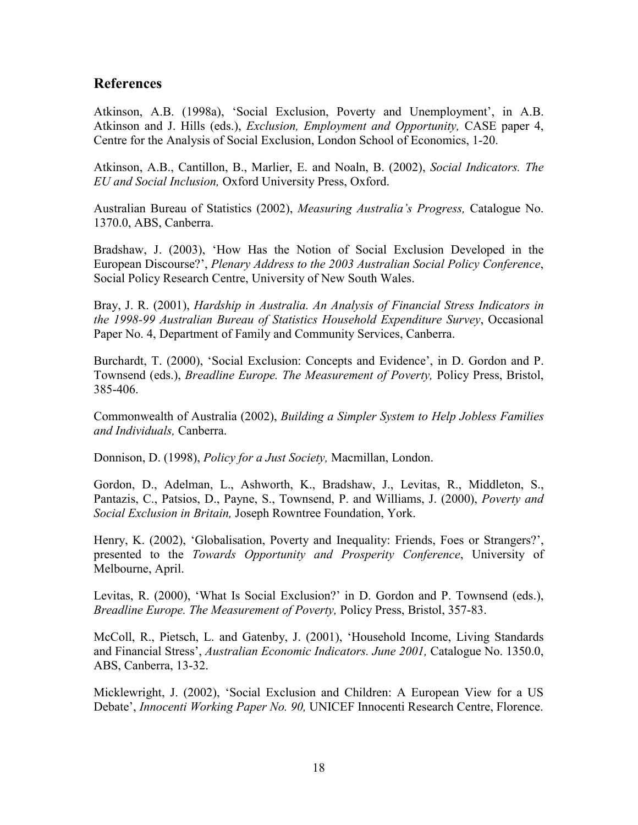#### **References**

Atkinson, A.B. (1998a), 'Social Exclusion, Poverty and Unemployment', in A.B. Atkinson and J. Hills (eds.), *Exclusion, Employment and Opportunity,* CASE paper 4, Centre for the Analysis of Social Exclusion, London School of Economics, 1-20.

Atkinson, A.B., Cantillon, B., Marlier, E. and Noaln, B. (2002), *Social Indicators. The EU and Social Inclusion,* Oxford University Press, Oxford.

Australian Bureau of Statistics (2002), *Measuring Australia's Progress,* Catalogue No. 1370.0, ABS, Canberra.

Bradshaw, J. (2003), 'How Has the Notion of Social Exclusion Developed in the European Discourse?', *Plenary Address to the 2003 Australian Social Policy Conference*, Social Policy Research Centre, University of New South Wales.

Bray, J. R. (2001), *Hardship in Australia. An Analysis of Financial Stress Indicators in the 1998-99 Australian Bureau of Statistics Household Expenditure Survey*, Occasional Paper No. 4, Department of Family and Community Services, Canberra.

Burchardt, T. (2000), 'Social Exclusion: Concepts and Evidence', in D. Gordon and P. Townsend (eds.), *Breadline Europe. The Measurement of Poverty,* Policy Press, Bristol, 385-406.

Commonwealth of Australia (2002), *Building a Simpler System to Help Jobless Families and Individuals,* Canberra.

Donnison, D. (1998), *Policy for a Just Society,* Macmillan, London.

Gordon, D., Adelman, L., Ashworth, K., Bradshaw, J., Levitas, R., Middleton, S., Pantazis, C., Patsios, D., Payne, S., Townsend, P. and Williams, J. (2000), *Poverty and Social Exclusion in Britain,* Joseph Rowntree Foundation, York.

Henry, K. (2002), 'Globalisation, Poverty and Inequality: Friends, Foes or Strangers?', presented to the *Towards Opportunity and Prosperity Conference*, University of Melbourne, April.

Levitas, R. (2000), 'What Is Social Exclusion?' in D. Gordon and P. Townsend (eds.), *Breadline Europe. The Measurement of Poverty,* Policy Press, Bristol, 357-83.

McColl, R., Pietsch, L. and Gatenby, J. (2001), 'Household Income, Living Standards and Financial Stress', *Australian Economic Indicators. June 2001,* Catalogue No. 1350.0, ABS, Canberra, 13-32.

Micklewright, J. (2002), 'Social Exclusion and Children: A European View for a US Debate', *Innocenti Working Paper No. 90,* UNICEF Innocenti Research Centre, Florence.